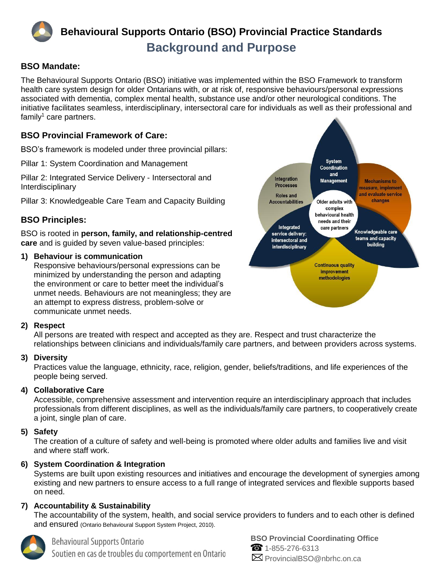

# **Behavioural Supports Ontario (BSO) Provincial Practice Standards Background and Purpose**

### **BSO Mandate:**

The Behavioural Supports Ontario (BSO) initiative was implemented within the BSO Framework to transform health care system design for older Ontarians with, or at risk of, responsive behaviours/personal expressions associated with dementia, complex mental health, substance use and/or other neurological conditions. The initiative facilitates seamless, interdisciplinary, intersectoral care for individuals as well as their professional and  $f$ amily<sup>1</sup> care partners.

# **BSO Provincial Framework of Care:**

BSO's framework is modeled under three provincial pillars:

Pillar 1: System Coordination and Management

Pillar 2: Integrated Service Delivery - Intersectoral and Interdisciplinary

Pillar 3: Knowledgeable Care Team and Capacity Building

# **BSO Principles:**

BSO is rooted in **person, family, and relationship-centred care** and is guided by seven value-based principles:

#### **1) Behaviour is communication**

Responsive behaviours/personal expressions can be minimized by understanding the person and adapting the environment or care to better meet the individual's unmet needs. Behaviours are not meaningless; they are an attempt to express distress, problem-solve or communicate unmet needs.



All persons are treated with respect and accepted as they are. Respect and trust characterize the relationships between clinicians and individuals/family care partners, and between providers across systems.

#### **3) Diversity**

Practices value the language, ethnicity, race, religion, gender, beliefs/traditions, and life experiences of the people being served.

#### **4) Collaborative Care**

Accessible, comprehensive assessment and intervention require an interdisciplinary approach that includes professionals from different disciplines, as well as the individuals/family care partners, to cooperatively create a joint, single plan of care.

#### **5) Safety**

The creation of a culture of safety and well-being is promoted where older adults and families live and visit and where staff work.

#### **6) System Coordination & Integration**

Systems are built upon existing resources and initiatives and encourage the development of synergies among existing and new partners to ensure access to a full range of integrated services and flexible supports based on need.

#### **7) Accountability & Sustainability**

The accountability of the system, health, and social service providers to funders and to each other is defined and ensured (Ontario Behavioural Support System Project, 2010).



# **Behavioural Supports Ontario**

Soutien en cas de troubles du comportement en Ontario



**BSO Provincial Coordinating Office** 1-855-276-6313  $\boxtimes$  ProvincialBSO@nbrhc.on.ca